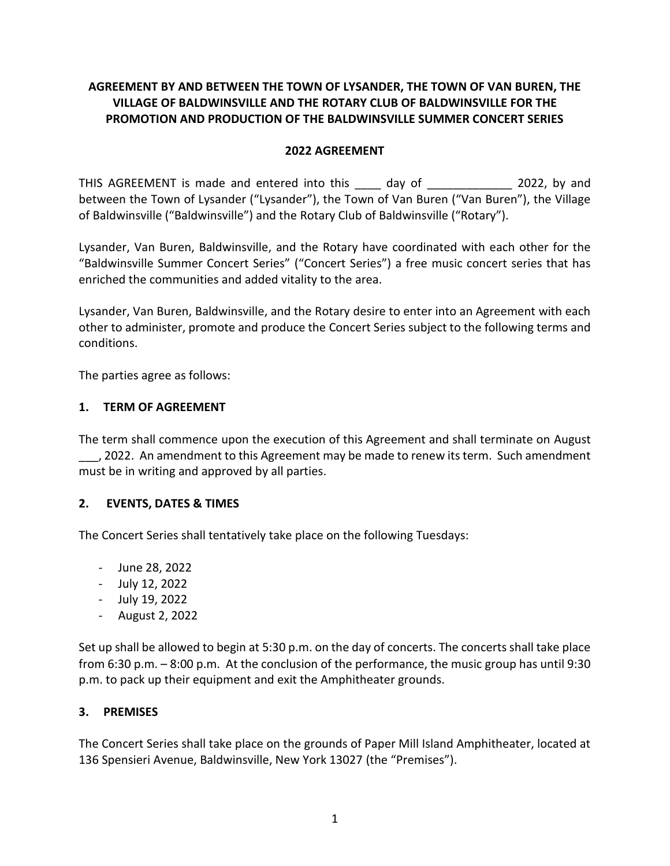# **AGREEMENT BY AND BETWEEN THE TOWN OF LYSANDER, THE TOWN OF VAN BUREN, THE VILLAGE OF BALDWINSVILLE AND THE ROTARY CLUB OF BALDWINSVILLE FOR THE PROMOTION AND PRODUCTION OF THE BALDWINSVILLE SUMMER CONCERT SERIES**

#### **2022 AGREEMENT**

THIS AGREEMENT is made and entered into this day of 2022, by and between the Town of Lysander ("Lysander"), the Town of Van Buren ("Van Buren"), the Village of Baldwinsville ("Baldwinsville") and the Rotary Club of Baldwinsville ("Rotary").

Lysander, Van Buren, Baldwinsville, and the Rotary have coordinated with each other for the "Baldwinsville Summer Concert Series" ("Concert Series") a free music concert series that has enriched the communities and added vitality to the area.

Lysander, Van Buren, Baldwinsville, and the Rotary desire to enter into an Agreement with each other to administer, promote and produce the Concert Series subject to the following terms and conditions.

The parties agree as follows:

#### **1. TERM OF AGREEMENT**

The term shall commence upon the execution of this Agreement and shall terminate on August \_\_\_, 2022. An amendment to this Agreement may be made to renew its term. Such amendment must be in writing and approved by all parties.

## **2. EVENTS, DATES & TIMES**

The Concert Series shall tentatively take place on the following Tuesdays:

- June 28, 2022
- July 12, 2022
- July 19, 2022
- August 2, 2022

Set up shall be allowed to begin at 5:30 p.m. on the day of concerts. The concerts shall take place from 6:30 p.m. – 8:00 p.m. At the conclusion of the performance, the music group has until 9:30 p.m. to pack up their equipment and exit the Amphitheater grounds.

#### **3. PREMISES**

The Concert Series shall take place on the grounds of Paper Mill Island Amphitheater, located at 136 Spensieri Avenue, Baldwinsville, New York 13027 (the "Premises").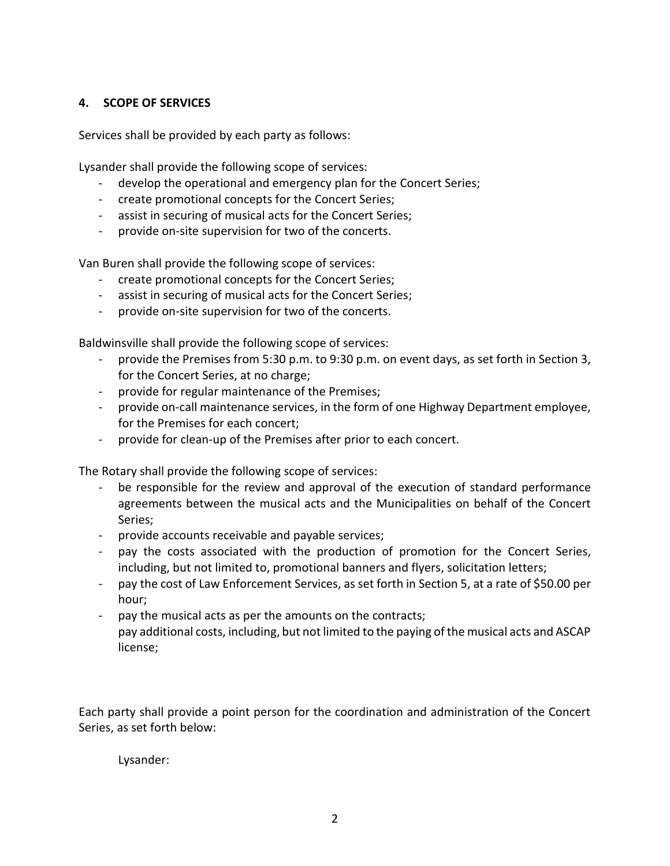#### **4. SCOPE OF SERVICES**

Services shall be provided by each party as follows:

Lysander shall provide the following scope of services:

- develop the operational and emergency plan for the Concert Series;
- create promotional concepts for the Concert Series;
- assist in securing of musical acts for the Concert Series;
- provide on-site supervision for two of the concerts.

Van Buren shall provide the following scope of services:

- create promotional concepts for the Concert Series;
- assist in securing of musical acts for the Concert Series;
- provide on-site supervision for two of the concerts.

Baldwinsville shall provide the following scope of services:

- provide the Premises from 5:30 p.m. to 9:30 p.m. on event days, as set forth in Section 3, for the Concert Series, at no charge;
- provide for regular maintenance of the Premises;
- provide on-call maintenance services, in the form of one Highway Department employee, for the Premises for each concert;
- provide for clean-up of the Premises after prior to each concert.

The Rotary shall provide the following scope of services:

- be responsible for the review and approval of the execution of standard performance agreements between the musical acts and the Municipalities on behalf of the Concert Series;
- provide accounts receivable and payable services;
- pay the costs associated with the production of promotion for the Concert Series, including, but not limited to, promotional banners and flyers, solicitation letters;
- pay the cost of Law Enforcement Services, as set forth in Section 5, at a rate of \$50.00 per hour;
- pay the musical acts as per the amounts on the contracts; pay additional costs, including, but not limited to the paying of the musical acts and ASCAP license;

Each party shall provide a point person for the coordination and administration of the Concert Series, as set forth below:

Lysander: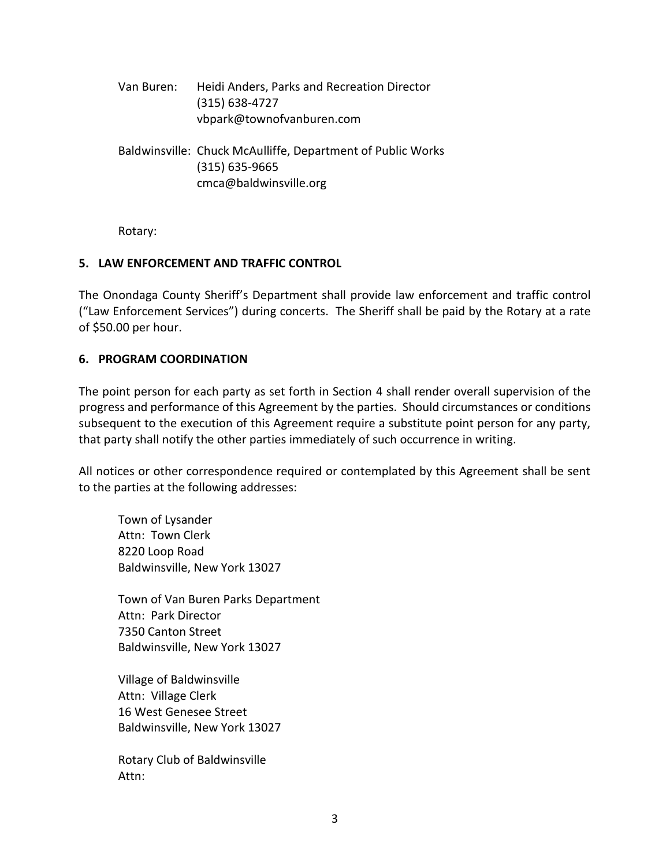Van Buren: Heidi Anders, Parks and Recreation Director (315) 638-4727 vbpark@townofvanburen.com

Baldwinsville: Chuck McAulliffe, Department of Public Works (315) 635-9665 cmca@baldwinsville.org

Rotary:

## **5. LAW ENFORCEMENT AND TRAFFIC CONTROL**

The Onondaga County Sheriff's Department shall provide law enforcement and traffic control ("Law Enforcement Services") during concerts. The Sheriff shall be paid by the Rotary at a rate of \$50.00 per hour.

## **6. PROGRAM COORDINATION**

The point person for each party as set forth in Section 4 shall render overall supervision of the progress and performance of this Agreement by the parties. Should circumstances or conditions subsequent to the execution of this Agreement require a substitute point person for any party, that party shall notify the other parties immediately of such occurrence in writing.

All notices or other correspondence required or contemplated by this Agreement shall be sent to the parties at the following addresses:

Town of Lysander Attn: Town Clerk 8220 Loop Road Baldwinsville, New York 13027

Town of Van Buren Parks Department Attn: Park Director 7350 Canton Street Baldwinsville, New York 13027

Village of Baldwinsville Attn: Village Clerk 16 West Genesee Street Baldwinsville, New York 13027

Rotary Club of Baldwinsville Attn: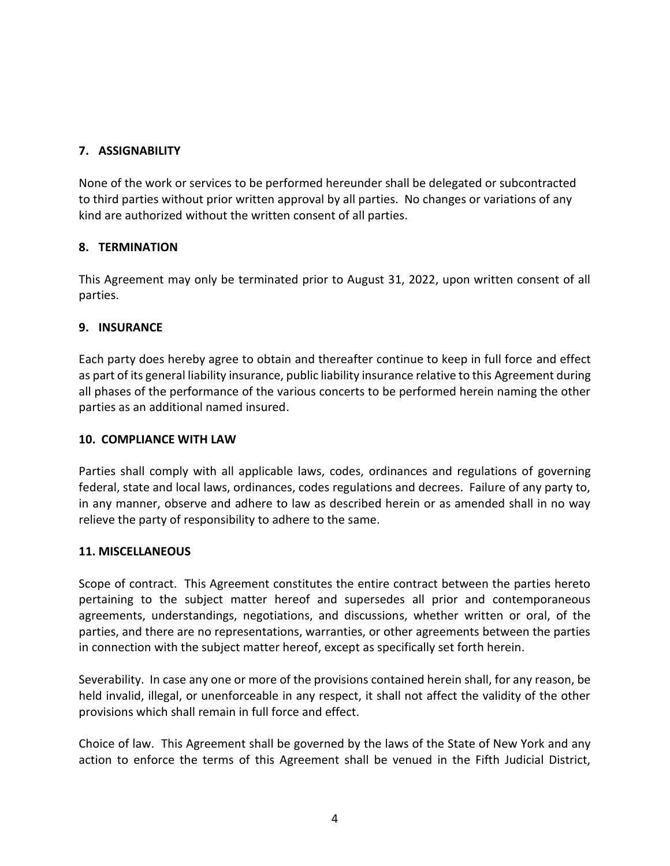# **7. ASSIGNABILITY**

None of the work or services to be performed hereunder shall be delegated or subcontracted to third parties without prior written approval by all parties. No changes or variations of any kind are authorized without the written consent of all parties.

## **8. TERMINATION**

This Agreement may only be terminated prior to August 31, 2022, upon written consent of all parties.

# **9. INSURANCE**

Each party does hereby agree to obtain and thereafter continue to keep in full force and effect as part of its general liability insurance, public liability insurance relative to this Agreement during all phases of the performance of the various concerts to be performed herein naming the other parties as an additional named insured.

## **10. COMPLIANCE WITH LAW**

Parties shall comply with all applicable laws, codes, ordinances and regulations of governing federal, state and local laws, ordinances, codes regulations and decrees. Failure of any party to, in any manner, observe and adhere to law as described herein or as amended shall in no way relieve the party of responsibility to adhere to the same.

## **11. MISCELLANEOUS**

Scope of contract. This Agreement constitutes the entire contract between the parties hereto pertaining to the subject matter hereof and supersedes all prior and contemporaneous agreements, understandings, negotiations, and discussions, whether written or oral, of the parties, and there are no representations, warranties, or other agreements between the parties in connection with the subject matter hereof, except as specifically set forth herein.

Severability. In case any one or more of the provisions contained herein shall, for any reason, be held invalid, illegal, or unenforceable in any respect, it shall not affect the validity of the other provisions which shall remain in full force and effect.

Choice of law. This Agreement shall be governed by the laws of the State of New York and any action to enforce the terms of this Agreement shall be venued in the Fifth Judicial District,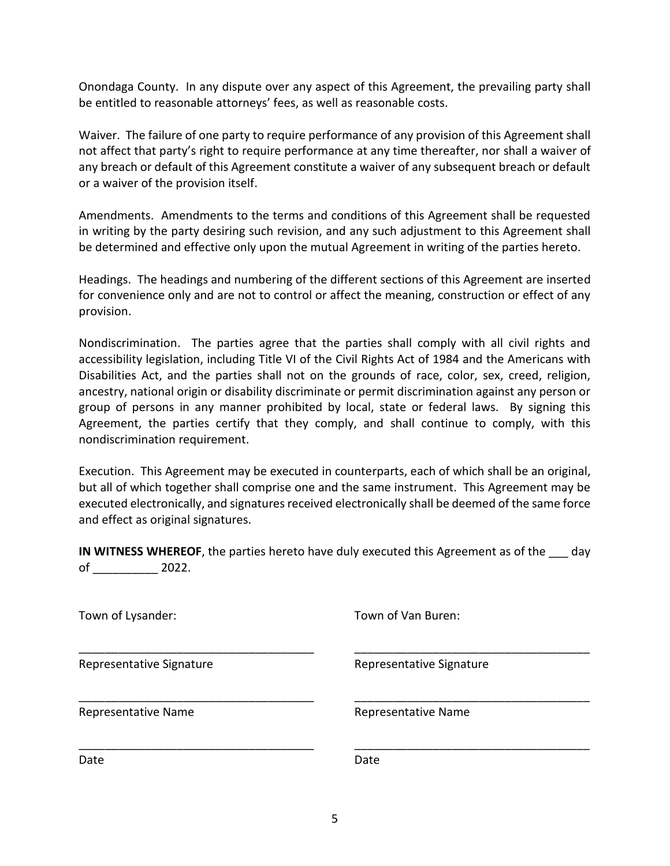Onondaga County. In any dispute over any aspect of this Agreement, the prevailing party shall be entitled to reasonable attorneys' fees, as well as reasonable costs.

Waiver. The failure of one party to require performance of any provision of this Agreement shall not affect that party's right to require performance at any time thereafter, nor shall a waiver of any breach or default of this Agreement constitute a waiver of any subsequent breach or default or a waiver of the provision itself.

Amendments. Amendments to the terms and conditions of this Agreement shall be requested in writing by the party desiring such revision, and any such adjustment to this Agreement shall be determined and effective only upon the mutual Agreement in writing of the parties hereto.

Headings. The headings and numbering of the different sections of this Agreement are inserted for convenience only and are not to control or affect the meaning, construction or effect of any provision.

Nondiscrimination. The parties agree that the parties shall comply with all civil rights and accessibility legislation, including Title VI of the Civil Rights Act of 1984 and the Americans with Disabilities Act, and the parties shall not on the grounds of race, color, sex, creed, religion, ancestry, national origin or disability discriminate or permit discrimination against any person or group of persons in any manner prohibited by local, state or federal laws. By signing this Agreement, the parties certify that they comply, and shall continue to comply, with this nondiscrimination requirement.

Execution. This Agreement may be executed in counterparts, each of which shall be an original, but all of which together shall comprise one and the same instrument. This Agreement may be executed electronically, and signatures received electronically shall be deemed of the same force and effect as original signatures.

**IN WITNESS WHEREOF**, the parties hereto have duly executed this Agreement as of the \_\_\_ day of \_\_\_\_\_\_\_\_\_\_ 2022.

\_\_\_\_\_\_\_\_\_\_\_\_\_\_\_\_\_\_\_\_\_\_\_\_\_\_\_\_\_\_\_\_\_\_\_\_ \_\_\_\_\_\_\_\_\_\_\_\_\_\_\_\_\_\_\_\_\_\_\_\_\_\_\_\_\_\_\_\_\_\_\_\_

\_\_\_\_\_\_\_\_\_\_\_\_\_\_\_\_\_\_\_\_\_\_\_\_\_\_\_\_\_\_\_\_\_\_\_\_ \_\_\_\_\_\_\_\_\_\_\_\_\_\_\_\_\_\_\_\_\_\_\_\_\_\_\_\_\_\_\_\_\_\_\_\_

\_\_\_\_\_\_\_\_\_\_\_\_\_\_\_\_\_\_\_\_\_\_\_\_\_\_\_\_\_\_\_\_\_\_\_\_ \_\_\_\_\_\_\_\_\_\_\_\_\_\_\_\_\_\_\_\_\_\_\_\_\_\_\_\_\_\_\_\_\_\_\_\_

Town of Lysander: Town of Van Buren:

Representative Signature **Representative Signature** Representative Signature

Representative Name<br>
Representative Name

Date **Date** Date **Date** Date **Date**